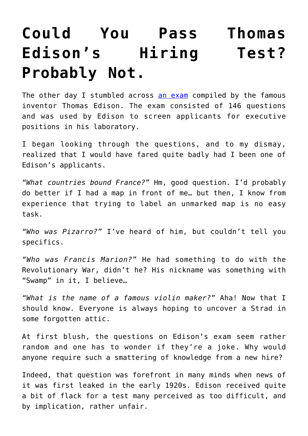## **[Could You Pass Thomas](https://intellectualtakeout.org/2018/01/could-you-pass-thomas-edisons-hiring-test-probably-not/) [Edison's Hiring Test?](https://intellectualtakeout.org/2018/01/could-you-pass-thomas-edisons-hiring-test-probably-not/) [Probably Not.](https://intellectualtakeout.org/2018/01/could-you-pass-thomas-edisons-hiring-test-probably-not/)**

The other day I stumbled across [an exam](https://docs.wixstatic.com/ugd/9b6a68_6a603ca4295e4cefb89db680aa62628a.pdf) compiled by the famous inventor Thomas Edison. The exam consisted of 146 questions and was used by Edison to screen applicants for executive positions in his laboratory.

I began looking through the questions, and to my dismay, realized that I would have fared quite badly had I been one of Edison's applicants.

*"What countries bound France?"* Hm, good question. I'd probably do better if I had a map in front of me… but then, I know from experience that trying to label an unmarked map is no easy task.

*"Who was Pizarro?"* I've heard of him, but couldn't tell you specifics.

*"Who was Francis Marion?"* He had something to do with the Revolutionary War, didn't he? His nickname was something with "Swamp" in it, I believe…

*"What is the name of a famous violin maker?"* Aha! Now that I should know. Everyone is always hoping to uncover a Strad in some forgotten attic.

At first blush, the questions on Edison's exam seem rather random and one has to wonder if they're a joke. Why would anyone require such a smattering of knowledge from a new hire?

Indeed, that question was forefront in many minds when news of it was first leaked in the early 1920s. Edison received quite a bit of flack for a test many perceived as too difficult, and by implication, rather unfair.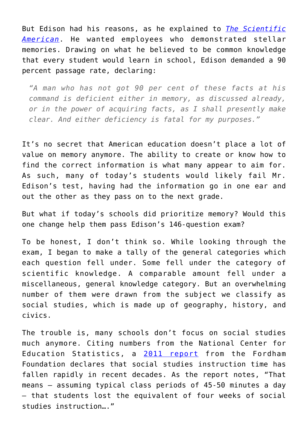But Edison had his reasons, as he explained to *[The Scientific](https://books.google.com/books?id=rYQ3AQAAMAAJ&pg=RA1-PA16&lpg=RA1-PA16&dq=What+do+you+know?+The+Edison+Questionnaire+%E2%80%93+Its+Aim,+Its+Results,+and+Its+Collateral+Significance&source=bl&ots=Bs-tn2FhzQ&sig=K_AmUydKWRSjXI1qTVBbhnhGWlM&hl=en&sa=X&ved=0ahUKEwjdmcuwl8vYAhUh5YMKHaIGDSEQ6AEILzAB#v=onepage&q&f=false) [American](https://books.google.com/books?id=rYQ3AQAAMAAJ&pg=RA1-PA16&lpg=RA1-PA16&dq=What+do+you+know?+The+Edison+Questionnaire+%E2%80%93+Its+Aim,+Its+Results,+and+Its+Collateral+Significance&source=bl&ots=Bs-tn2FhzQ&sig=K_AmUydKWRSjXI1qTVBbhnhGWlM&hl=en&sa=X&ved=0ahUKEwjdmcuwl8vYAhUh5YMKHaIGDSEQ6AEILzAB#v=onepage&q&f=false)*. He wanted employees who demonstrated stellar memories. Drawing on what he believed to be common knowledge that every student would learn in school, Edison demanded a 90 percent passage rate, declaring:

*"A man who has not got 90 per cent of these facts at his command is deficient either in memory, as discussed already, or in the power of acquiring facts, as I shall presently make clear. And either deficiency is fatal for my purposes."*

It's no secret that American education doesn't place a lot of value on memory anymore. The ability to create or know how to find the correct information is what many appear to aim for. As such, many of today's students would likely fail Mr. Edison's test, having had the information go in one ear and out the other as they pass on to the next grade.

But what if today's schools did prioritize memory? Would this one change help them pass Edison's 146-question exam?

To be honest, I don't think so. While looking through the exam, I began to make a tally of the general categories which each question fell under. Some fell under the category of scientific knowledge. A comparable amount fell under a miscellaneous, general knowledge category. But an overwhelming number of them were drawn from the subject we classify as social studies, which is made up of geography, history, and civics.

The trouble is, many schools don't focus on social studies much anymore. Citing numbers from the National Center for Education Statistics, a [2011 report](http://www.edexcellencemedia.net/publications/2011/20110216_SOSHS/SOSS_History_FINAL.pdf) from the Fordham Foundation declares that social studies instruction time has fallen rapidly in recent decades. As the report notes, "That means – assuming typical class periods of 45-50 minutes a day – that students lost the equivalent of four weeks of social studies instruction…."